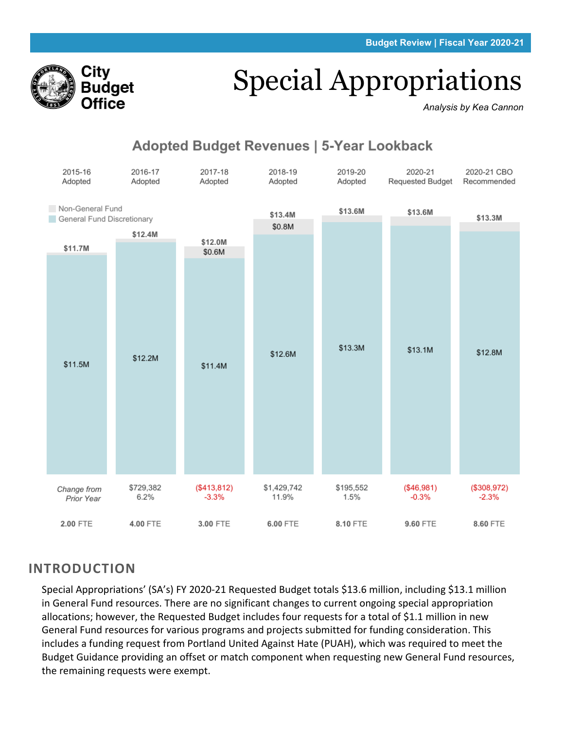

# Special Appropriations

*Analysis by Kea Cannon*

# Adopted Budget Revenues | 5-Year Lookback



## **INTRODUCTION**

Special Appropriations' (SA's) FY 2020-21 Requested Budget totals \$13.6 million, including \$13.1 million in General Fund resources. There are no significant changes to current ongoing special appropriation allocations; however, the Requested Budget includes four requests for a total of \$1.1 million in new General Fund resources for various programs and projects submitted for funding consideration. This includes a funding request from Portland United Against Hate (PUAH), which was required to meet the Budget Guidance providing an offset or match component when requesting new General Fund resources, the remaining requests were exempt.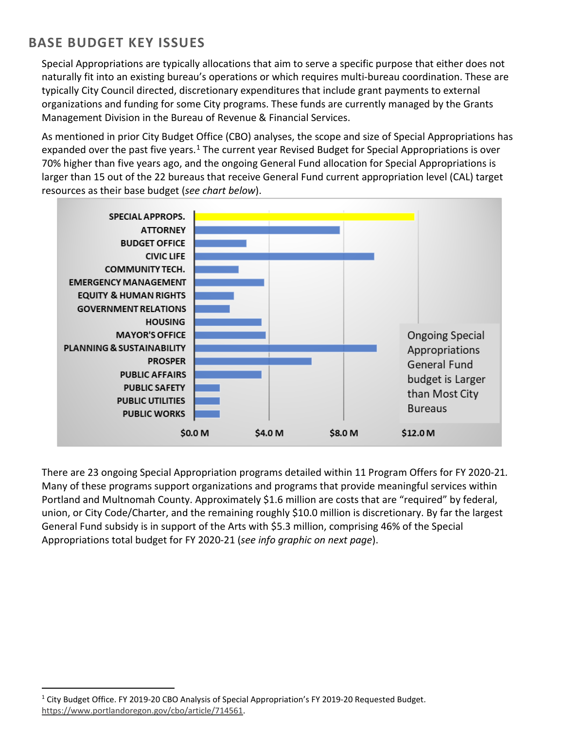# **BASE BUDGET KEY ISSUES**

Special Appropriations are typically allocations that aim to serve a specific purpose that either does not naturally fit into an existing bureau's operations or which requires multi-bureau coordination. These are typically City Council directed, discretionary expenditures that include grant payments to external organizations and funding for some City programs. These funds are currently managed by the Grants Management Division in the Bureau of Revenue & Financial Services.

As mentioned in prior City Budget Office (CBO) analyses, the scope and size of Special Appropriations has expanded over the past five years.<sup>[1](#page-1-0)</sup> The current year Revised Budget for Special Appropriations is over 70% higher than five years ago, and the ongoing General Fund allocation for Special Appropriations is larger than 15 out of the 22 bureaus that receive General Fund current appropriation level (CAL) target resources as their base budget (*see chart below*).



There are 23 ongoing Special Appropriation programs detailed within 11 Program Offers for FY 2020-21*.* Many of these programs support organizations and programs that provide meaningful services within Portland and Multnomah County. Approximately \$1.6 million are costs that are "required" by federal, union, or City Code/Charter, and the remaining roughly \$10.0 million is discretionary. By far the largest General Fund subsidy is in support of the Arts with \$5.3 million, comprising 46% of the Special Appropriations total budget for FY 2020-21 (*see info graphic on next page*).

<span id="page-1-0"></span><sup>&</sup>lt;sup>1</sup> City Budget Office. FY 2019-20 CBO Analysis of Special Appropriation's FY 2019-20 Requested Budget. [https://www.portlandoregon.gov/cbo/article/714561.](https://www.portlandoregon.gov/cbo/article/714561)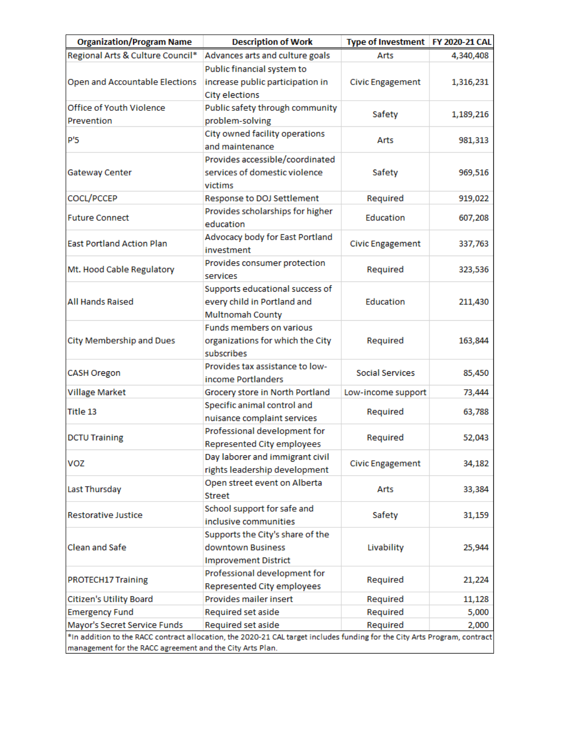| <b>Organization/Program Name</b>                                                                                          | <b>Description of Work</b>       | Type of Investment   FY 2020-21 CAL |           |  |  |  |  |
|---------------------------------------------------------------------------------------------------------------------------|----------------------------------|-------------------------------------|-----------|--|--|--|--|
| Regional Arts & Culture Council*                                                                                          | Advances arts and culture goals  | Arts                                | 4,340,408 |  |  |  |  |
|                                                                                                                           | Public financial system to       |                                     |           |  |  |  |  |
| Open and Accountable Elections                                                                                            | increase public participation in | <b>Civic Engagement</b>             | 1,316,231 |  |  |  |  |
|                                                                                                                           | City elections                   |                                     |           |  |  |  |  |
| Office of Youth Violence                                                                                                  | Public safety through community  |                                     | 1,189,216 |  |  |  |  |
| Prevention                                                                                                                | problem-solving                  | Safety                              |           |  |  |  |  |
|                                                                                                                           | City owned facility operations   |                                     |           |  |  |  |  |
| P'5                                                                                                                       | and maintenance                  | Arts                                | 981,313   |  |  |  |  |
|                                                                                                                           | Provides accessible/coordinated  |                                     |           |  |  |  |  |
| Gateway Center                                                                                                            | services of domestic violence    | Safety                              | 969,516   |  |  |  |  |
|                                                                                                                           | victims                          |                                     |           |  |  |  |  |
| COCL/PCCEP                                                                                                                | Response to DOJ Settlement       | Required                            | 919,022   |  |  |  |  |
|                                                                                                                           | Provides scholarships for higher |                                     |           |  |  |  |  |
| <b>Future Connect</b>                                                                                                     | education                        | Education                           | 607,208   |  |  |  |  |
|                                                                                                                           | Advocacy body for East Portland  |                                     |           |  |  |  |  |
| <b>East Portland Action Plan</b>                                                                                          | investment                       | <b>Civic Engagement</b>             | 337,763   |  |  |  |  |
|                                                                                                                           | Provides consumer protection     |                                     |           |  |  |  |  |
| Mt. Hood Cable Regulatory                                                                                                 | services                         | Required                            | 323,536   |  |  |  |  |
|                                                                                                                           | Supports educational success of  |                                     | 211,430   |  |  |  |  |
| <b>All Hands Raised</b>                                                                                                   | every child in Portland and      | Education                           |           |  |  |  |  |
|                                                                                                                           | <b>Multnomah County</b>          |                                     |           |  |  |  |  |
|                                                                                                                           | Funds members on various         |                                     |           |  |  |  |  |
| City Membership and Dues                                                                                                  | organizations for which the City | Required                            | 163,844   |  |  |  |  |
|                                                                                                                           | subscribes                       |                                     |           |  |  |  |  |
|                                                                                                                           | Provides tax assistance to low-  |                                     |           |  |  |  |  |
| <b>CASH Oregon</b>                                                                                                        | income Portlanders               | <b>Social Services</b>              | 85,450    |  |  |  |  |
| <b>Village Market</b>                                                                                                     | Grocery store in North Portland  | Low-income support                  | 73,444    |  |  |  |  |
|                                                                                                                           | Specific animal control and      |                                     |           |  |  |  |  |
| Title 13                                                                                                                  | nuisance complaint services      | Required                            | 63,788    |  |  |  |  |
|                                                                                                                           | Professional development for     |                                     |           |  |  |  |  |
| <b>DCTU Training</b>                                                                                                      | Represented City employees       | Required                            | 52,043    |  |  |  |  |
|                                                                                                                           | Day laborer and immigrant civil  |                                     |           |  |  |  |  |
| VOZ                                                                                                                       | rights leadership development    | <b>Civic Engagement</b>             | 34,182    |  |  |  |  |
|                                                                                                                           | Open street event on Alberta     |                                     |           |  |  |  |  |
| Last Thursday                                                                                                             | Street                           | Arts                                | 33,384    |  |  |  |  |
| Restorative Justice                                                                                                       | School support for safe and      |                                     |           |  |  |  |  |
|                                                                                                                           | inclusive communities            | Safety                              | 31,159    |  |  |  |  |
|                                                                                                                           | Supports the City's share of the |                                     |           |  |  |  |  |
| Clean and Safe                                                                                                            | downtown Business                | Livability                          | 25,944    |  |  |  |  |
|                                                                                                                           | <b>Improvement District</b>      |                                     |           |  |  |  |  |
| PROTECH17 Training                                                                                                        | Professional development for     | Required                            | 21,224    |  |  |  |  |
|                                                                                                                           | Represented City employees       |                                     |           |  |  |  |  |
| Citizen's Utility Board                                                                                                   | Provides mailer insert           | Required                            | 11,128    |  |  |  |  |
| <b>Emergency Fund</b>                                                                                                     | Required set aside               | Required                            | 5,000     |  |  |  |  |
| Mayor's Secret Service Funds                                                                                              | Required set aside               | Required                            | 2,000     |  |  |  |  |
| *In addition to the RACC contract allocation, the 2020-21 CAL target includes funding for the City Arts Program, contract |                                  |                                     |           |  |  |  |  |
| management for the RACC agreement and the City Arts Plan.                                                                 |                                  |                                     |           |  |  |  |  |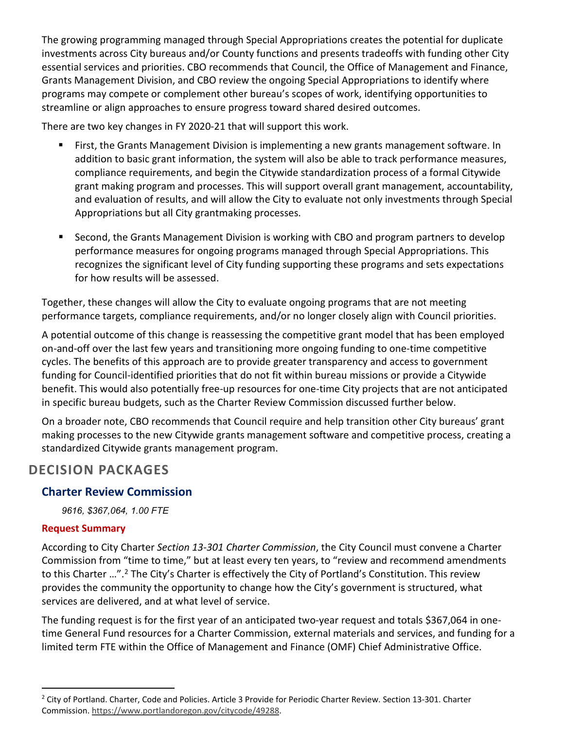The growing programming managed through Special Appropriations creates the potential for duplicate investments across City bureaus and/or County functions and presents tradeoffs with funding other City essential services and priorities. CBO recommends that Council, the Office of Management and Finance, Grants Management Division, and CBO review the ongoing Special Appropriations to identify where programs may compete or complement other bureau's scopes of work, identifying opportunities to streamline or align approaches to ensure progress toward shared desired outcomes.

There are two key changes in FY 2020-21 that will support this work.

- First, the Grants Management Division is implementing a new grants management software. In addition to basic grant information, the system will also be able to track performance measures, compliance requirements, and begin the Citywide standardization process of a formal Citywide grant making program and processes. This will support overall grant management, accountability, and evaluation of results, and will allow the City to evaluate not only investments through Special Appropriations but all City grantmaking processes.
- Second, the Grants Management Division is working with CBO and program partners to develop performance measures for ongoing programs managed through Special Appropriations. This recognizes the significant level of City funding supporting these programs and sets expectations for how results will be assessed.

Together, these changes will allow the City to evaluate ongoing programs that are not meeting performance targets, compliance requirements, and/or no longer closely align with Council priorities.

A potential outcome of this change is reassessing the competitive grant model that has been employed on-and-off over the last few years and transitioning more ongoing funding to one-time competitive cycles. The benefits of this approach are to provide greater transparency and access to government funding for Council-identified priorities that do not fit within bureau missions or provide a Citywide benefit. This would also potentially free-up resources for one-time City projects that are not anticipated in specific bureau budgets, such as the Charter Review Commission discussed further below.

On a broader note, CBO recommends that Council require and help transition other City bureaus' grant making processes to the new Citywide grants management software and competitive process, creating a standardized Citywide grants management program.

## **DECISION PACKAGES**

#### **Charter Review Commission**

*9616, \$367,064, 1.00 FTE*

#### **Request Summary**

According to City Charter *Section 13-301 Charter Commission*, the City Council must convene a Charter Commission from "time to time," but at least every ten years, to "review and recommend amendments to this Charter …".[2](#page-3-0) The City's Charter is effectively the City of Portland's Constitution. This review provides the community the opportunity to change how the City's government is structured, what services are delivered, and at what level of service.

The funding request is for the first year of an anticipated two-year request and totals \$367,064 in onetime General Fund resources for a Charter Commission, external materials and services, and funding for a limited term FTE within the Office of Management and Finance (OMF) Chief Administrative Office.

<span id="page-3-0"></span><sup>&</sup>lt;sup>2</sup> City of Portland. Charter, Code and Policies. Article 3 Provide for Periodic Charter Review. Section 13-301. Charter Commission[. https://www.portlandoregon.gov/citycode/49288.](https://www.portlandoregon.gov/citycode/49288)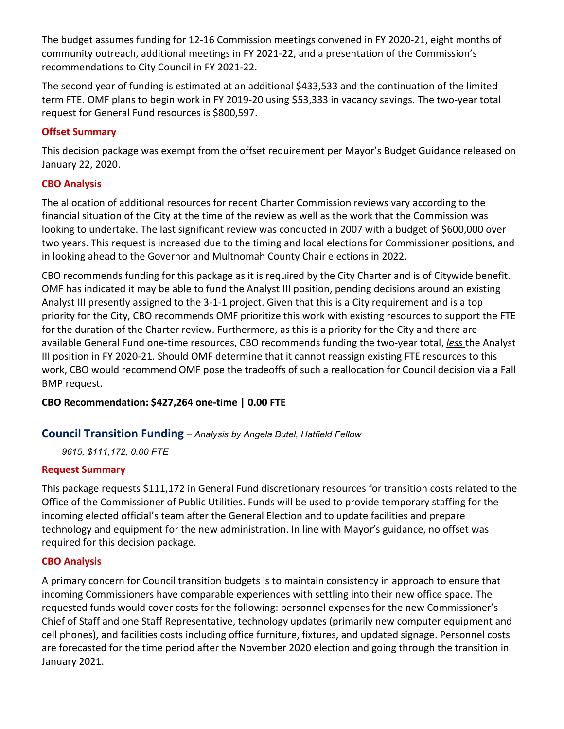The budget assumes funding for 12-16 Commission meetings convened in FY 2020-21, eight months of community outreach, additional meetings in FY 2021-22, and a presentation of the Commission's recommendations to City Council in FY 2021-22.

The second year of funding is estimated at an additional \$433,533 and the continuation of the limited term FTE. OMF plans to begin work in FY 2019-20 using \$53,333 in vacancy savings. The two-year total request for General Fund resources is \$800,597.

#### **Offset Summary**

This decision package was exempt from the offset requirement per Mayor's Budget Guidance released on January 22, 2020.

#### **CBO Analysis**

The allocation of additional resources for recent Charter Commission reviews vary according to the financial situation of the City at the time of the review as well as the work that the Commission was looking to undertake. The last significant review was conducted in 2007 with a budget of \$600,000 over two years. This request is increased due to the timing and local elections for Commissioner positions, and in looking ahead to the Governor and Multnomah County Chair elections in 2022.

CBO recommends funding for this package as it is required by the City Charter and is of Citywide benefit. OMF has indicated it may be able to fund the Analyst III position, pending decisions around an existing Analyst III presently assigned to the 3-1-1 project. Given that this is a City requirement and is a top priority for the City, CBO recommends OMF prioritize this work with existing resources to support the FTE for the duration of the Charter review. Furthermore, as this is a priority for the City and there are available General Fund one-time resources, CBO recommends funding the two-year total, *less* the Analyst III position in FY 2020-21. Should OMF determine that it cannot reassign existing FTE resources to this work, CBO would recommend OMF pose the tradeoffs of such a reallocation for Council decision via a Fall BMP request.

#### **CBO Recommendation: \$427,264 one-time | 0.00 FTE**

#### **Council Transition Funding** *– Analysis by Angela Butel, Hatfield Fellow*

*9615, \$111,172, 0.00 FTE*

#### **Request Summary**

This package requests \$111,172 in General Fund discretionary resources for transition costs related to the Office of the Commissioner of Public Utilities. Funds will be used to provide temporary staffing for the incoming elected official's team after the General Election and to update facilities and prepare technology and equipment for the new administration. In line with Mayor's guidance, no offset was required for this decision package.

#### **CBO Analysis**

A primary concern for Council transition budgets is to maintain consistency in approach to ensure that incoming Commissioners have comparable experiences with settling into their new office space. The requested funds would cover costs for the following: personnel expenses for the new Commissioner's Chief of Staff and one Staff Representative, technology updates (primarily new computer equipment and cell phones), and facilities costs including office furniture, fixtures, and updated signage. Personnel costs are forecasted for the time period after the November 2020 election and going through the transition in January 2021.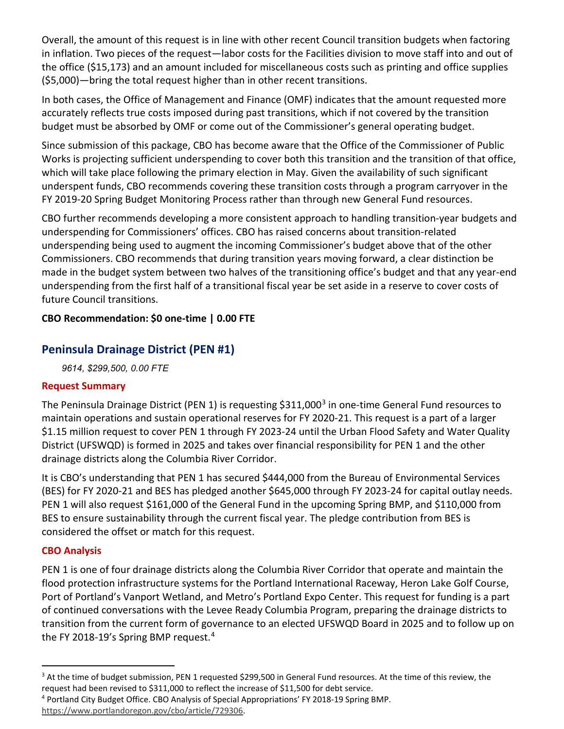Overall, the amount of this request is in line with other recent Council transition budgets when factoring in inflation. Two pieces of the request—labor costs for the Facilities division to move staff into and out of the office (\$15,173) and an amount included for miscellaneous costs such as printing and office supplies (\$5,000)—bring the total request higher than in other recent transitions.

In both cases, the Office of Management and Finance (OMF) indicates that the amount requested more accurately reflects true costs imposed during past transitions, which if not covered by the transition budget must be absorbed by OMF or come out of the Commissioner's general operating budget.

Since submission of this package, CBO has become aware that the Office of the Commissioner of Public Works is projecting sufficient underspending to cover both this transition and the transition of that office, which will take place following the primary election in May. Given the availability of such significant underspent funds, CBO recommends covering these transition costs through a program carryover in the FY 2019-20 Spring Budget Monitoring Process rather than through new General Fund resources.

CBO further recommends developing a more consistent approach to handling transition-year budgets and underspending for Commissioners' offices. CBO has raised concerns about transition-related underspending being used to augment the incoming Commissioner's budget above that of the other Commissioners. CBO recommends that during transition years moving forward, a clear distinction be made in the budget system between two halves of the transitioning office's budget and that any year-end underspending from the first half of a transitional fiscal year be set aside in a reserve to cover costs of future Council transitions.

#### **CBO Recommendation: \$0 one-time | 0.00 FTE**

## **Peninsula Drainage District (PEN #1)**

*9614, \$299,500, 0.00 FTE*

#### **Request Summary**

The Peninsula Drainage District (PEN 1) is requesting \$[3](#page-5-0)11,000<sup>3</sup> in one-time General Fund resources to maintain operations and sustain operational reserves for FY 2020-21. This request is a part of a larger \$1.15 million request to cover PEN 1 through FY 2023-24 until the Urban Flood Safety and Water Quality District (UFSWQD) is formed in 2025 and takes over financial responsibility for PEN 1 and the other drainage districts along the Columbia River Corridor.

It is CBO's understanding that PEN 1 has secured \$444,000 from the Bureau of Environmental Services (BES) for FY 2020-21 and BES has pledged another \$645,000 through FY 2023-24 for capital outlay needs. PEN 1 will also request \$161,000 of the General Fund in the upcoming Spring BMP, and \$110,000 from BES to ensure sustainability through the current fiscal year. The pledge contribution from BES is considered the offset or match for this request.

#### **CBO Analysis**

PEN 1 is one of four drainage districts along the Columbia River Corridor that operate and maintain the flood protection infrastructure systems for the Portland International Raceway, Heron Lake Golf Course, Port of Portland's Vanport Wetland, and Metro's Portland Expo Center. This request for funding is a part of continued conversations with the Levee Ready Columbia Program, preparing the drainage districts to transition from the current form of governance to an elected UFSWQD Board in 2025 and to follow up on the FY 2018-19's Spring BMP request.<sup>[4](#page-5-1)</sup>

<span id="page-5-0"></span><sup>&</sup>lt;sup>3</sup> At the time of budget submission, PEN 1 requested \$299,500 in General Fund resources. At the time of this review, the request had been revised to \$311,000 to reflect the increase of \$11,500 for debt service.

<span id="page-5-1"></span><sup>4</sup> Portland City Budget Office. CBO Analysis of Special Appropriations' FY 2018-19 Spring BMP. [https://www.portlandoregon.gov/cbo/article/729306.](https://www.portlandoregon.gov/cbo/article/729306)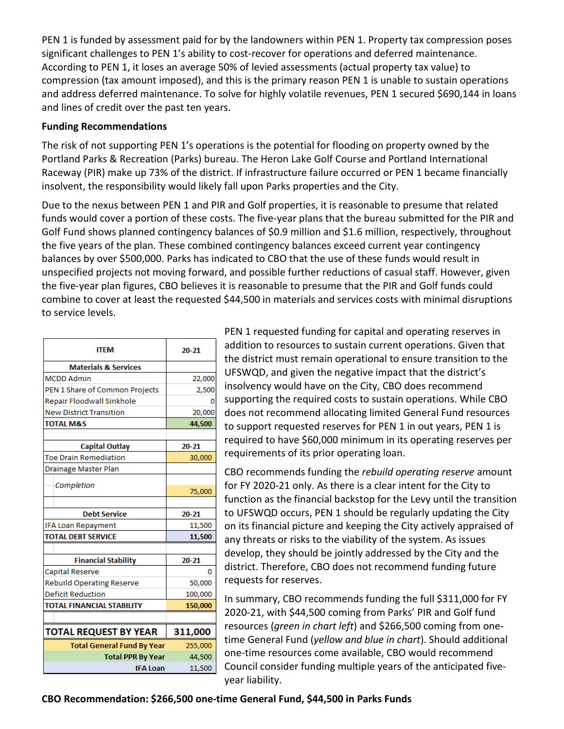PEN 1 is funded by assessment paid for by the landowners within PEN 1. Property tax compression poses significant challenges to PEN 1's ability to cost-recover for operations and deferred maintenance. According to PEN 1, it loses an average 50% of levied assessments (actual property tax value) to compression (tax amount imposed), and this is the primary reason PEN 1 is unable to sustain operations and address deferred maintenance. To solve for highly volatile revenues, PEN 1 secured \$690,144 in loans and lines of credit over the past ten years.

#### **Funding Recommendations**

The risk of not supporting PEN 1's operations is the potential for flooding on property owned by the Portland Parks & Recreation (Parks) bureau. The Heron Lake Golf Course and Portland International Raceway (PIR) make up 73% of the district. If infrastructure failure occurred or PEN 1 became financially insolvent, the responsibility would likely fall upon Parks properties and the City.

Due to the nexus between PEN 1 and PIR and Golf properties, it is reasonable to presume that related funds would cover a portion of these costs. The five-year plans that the bureau submitted for the PIR and Golf Fund shows planned contingency balances of \$0.9 million and \$1.6 million, respectively, throughout the five years of the plan. These combined contingency balances exceed current year contingency balances by over \$500,000. Parks has indicated to CBO that the use of these funds would result in unspecified projects not moving forward, and possible further reductions of casual staff. However, given the five-year plan figures, CBO believes it is reasonable to presume that the PIR and Golf funds could combine to cover at least the requested \$44,500 in materials and services costs with minimal disruptions to service levels.

| <b>ITEM</b>                       | $20 - 21$ |  |
|-----------------------------------|-----------|--|
|                                   |           |  |
| <b>Materials &amp; Services</b>   |           |  |
| <b>MCDD Admin</b>                 | 22,000    |  |
| PEN 1 Share of Common Projects    | 2,500     |  |
| Repair Floodwall Sinkhole         | n         |  |
| <b>New District Transition</b>    | 20,000    |  |
| <b>TOTAL M&amp;S</b>              | 44,500    |  |
|                                   |           |  |
| <b>Capital Outlay</b>             | $20 - 21$ |  |
| <b>Toe Drain Remediation</b>      | 30,000    |  |
| Drainage Master Plan              |           |  |
| Completion                        |           |  |
|                                   | 75,000    |  |
|                                   |           |  |
| <b>Debt Service</b>               | $20 - 21$ |  |
| <b>IFA Loan Repayment</b>         | 11,500    |  |
| <b>TOTAL DEBT SERVICE</b>         | 11,500    |  |
|                                   |           |  |
| <b>Financial Stability</b>        | $20 - 21$ |  |
| Capital Reserve                   | 0         |  |
| <b>Rebuild Operating Reserve</b>  | 50,000    |  |
| <b>Deficit Reduction</b>          | 100,000   |  |
| <b>TOTAL FINANCIAL STABILITY</b>  | 150,000   |  |
|                                   |           |  |
| TOTAL REQUEST BY YEAR             | 311,000   |  |
| <b>Total General Fund By Year</b> | 255,000   |  |
| <b>Total PPR By Year</b>          | 44,500    |  |
| <b>IFA Loan</b>                   | 11,500    |  |

PEN 1 requested funding for capital and operating reserves in addition to resources to sustain current operations. Given that the district must remain operational to ensure transition to the UFSWQD, and given the negative impact that the district's insolvency would have on the City, CBO does recommend supporting the required costs to sustain operations. While CBO does not recommend allocating limited General Fund resources to support requested reserves for PEN 1 in out years, PEN 1 is required to have \$60,000 minimum in its operating reserves per requirements of its prior operating loan.

CBO recommends funding the *rebuild operating reserve* amount for FY 2020-21 only. As there is a clear intent for the City to function as the financial backstop for the Levy until the transition to UFSWQD occurs, PEN 1 should be regularly updating the City on its financial picture and keeping the City actively appraised of any threats or risks to the viability of the system. As issues develop, they should be jointly addressed by the City and the district. Therefore, CBO does not recommend funding future requests for reserves.

In summary, CBO recommends funding the full \$311,000 for FY 2020-21, with \$44,500 coming from Parks' PIR and Golf fund resources (*green in chart left*) and \$266,500 coming from onetime General Fund (*yellow and blue in chart*). Should additional one-time resources come available, CBO would recommend Council consider funding multiple years of the anticipated fiveyear liability.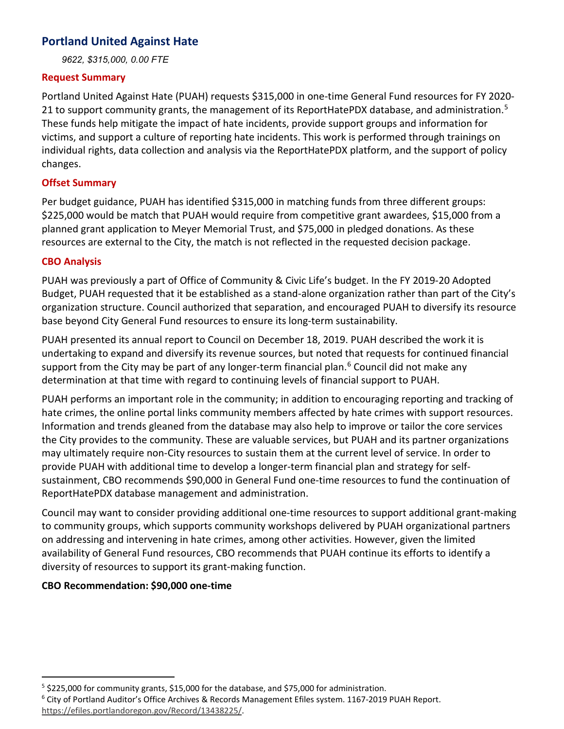### **Portland United Against Hate**

*9622, \$315,000, 0.00 FTE*

#### **Request Summary**

Portland United Against Hate (PUAH) requests \$315,000 in one-time General Fund resources for FY 2020- 21 to support community grants, the management of its ReportHatePDX database, and administration.<sup>[5](#page-7-0)</sup> These funds help mitigate the impact of hate incidents, provide support groups and information for victims, and support a culture of reporting hate incidents. This work is performed through trainings on individual rights, data collection and analysis via the ReportHatePDX platform, and the support of policy changes.

#### **Offset Summary**

Per budget guidance, PUAH has identified \$315,000 in matching funds from three different groups: \$225,000 would be match that PUAH would require from competitive grant awardees, \$15,000 from a planned grant application to Meyer Memorial Trust, and \$75,000 in pledged donations. As these resources are external to the City, the match is not reflected in the requested decision package.

#### **CBO Analysis**

PUAH was previously a part of Office of Community & Civic Life's budget. In the FY 2019-20 Adopted Budget, PUAH requested that it be established as a stand-alone organization rather than part of the City's organization structure. Council authorized that separation, and encouraged PUAH to diversify its resource base beyond City General Fund resources to ensure its long-term sustainability.

PUAH presented its annual report to Council on December 18, 2019. PUAH described the work it is undertaking to expand and diversify its revenue sources, but noted that requests for continued financial support from the City may be part of any longer-term financial plan.<sup>[6](#page-7-1)</sup> Council did not make any determination at that time with regard to continuing levels of financial support to PUAH.

PUAH performs an important role in the community; in addition to encouraging reporting and tracking of hate crimes, the online portal links community members affected by hate crimes with support resources. Information and trends gleaned from the database may also help to improve or tailor the core services the City provides to the community. These are valuable services, but PUAH and its partner organizations may ultimately require non-City resources to sustain them at the current level of service. In order to provide PUAH with additional time to develop a longer-term financial plan and strategy for selfsustainment, CBO recommends \$90,000 in General Fund one-time resources to fund the continuation of ReportHatePDX database management and administration.

Council may want to consider providing additional one-time resources to support additional grant-making to community groups, which supports community workshops delivered by PUAH organizational partners on addressing and intervening in hate crimes, among other activities. However, given the limited availability of General Fund resources, CBO recommends that PUAH continue its efforts to identify a diversity of resources to support its grant-making function.

#### **CBO Recommendation: \$90,000 one-time**

<span id="page-7-0"></span> $5$  \$225,000 for community grants, \$15,000 for the database, and \$75,000 for administration.

<span id="page-7-1"></span><sup>&</sup>lt;sup>6</sup> City of Portland Auditor's Office Archives & Records Management Efiles system. 1167-2019 PUAH Report. [https://efiles.portlandoregon.gov/Record/13438225/.](https://efiles.portlandoregon.gov/Record/13438225/)